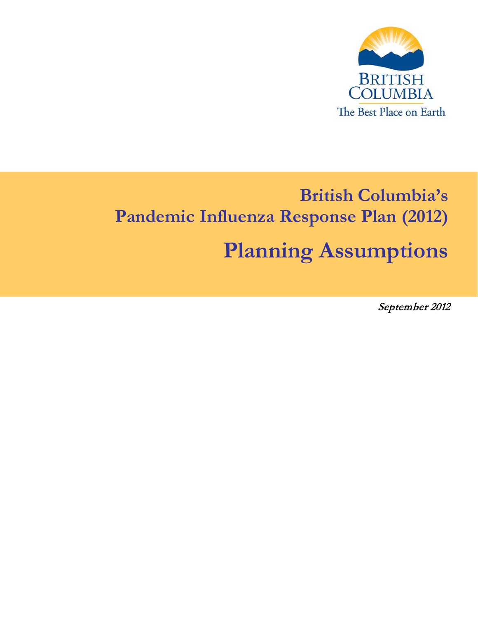

# **British Columbia's Pandemic Influenza Response Plan (2012) Planning Assumptions**

September 2012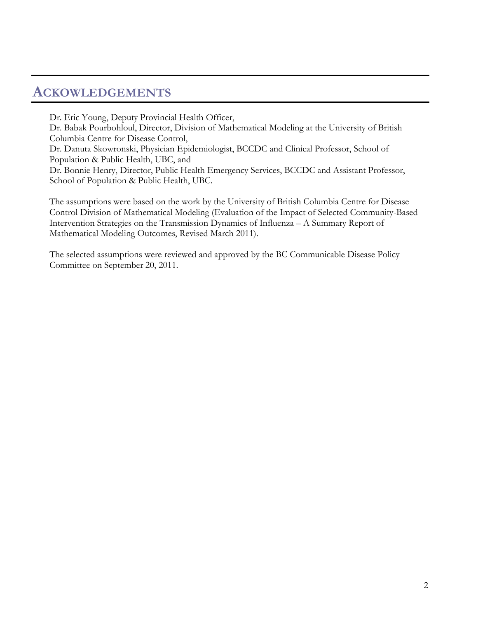## **ACKOWLEDGEMENTS**

Dr. Eric Young, Deputy Provincial Health Officer, Dr. Babak Pourbohloul, Director, Division of Mathematical Modeling at the University of British Columbia Centre for Disease Control, Dr. Danuta Skowronski, Physician Epidemiologist, BCCDC and Clinical Professor, School of Population & Public Health, UBC, and Dr. Bonnie Henry, Director, Public Health Emergency Services, BCCDC and Assistant Professor, School of Population & Public Health, UBC.

The assumptions were based on the work by the University of British Columbia Centre for Disease Control Division of Mathematical Modeling (Evaluation of the Impact of Selected Community-Based Intervention Strategies on the Transmission Dynamics of Influenza – A Summary Report of Mathematical Modeling Outcomes, Revised March 2011).

The selected assumptions were reviewed and approved by the BC Communicable Disease Policy Committee on September 20, 2011.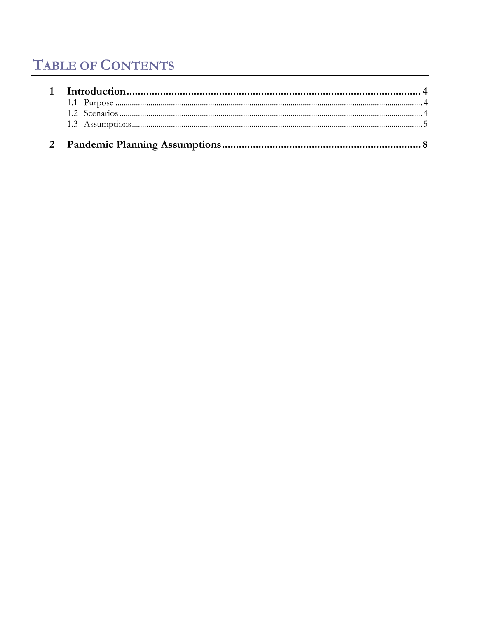## **TABLE OF CONTENTS**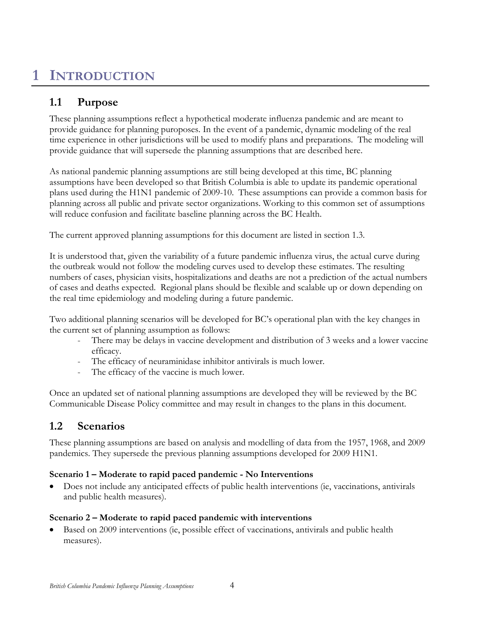## <span id="page-3-0"></span>**1 INTRODUCTION**

## **1.1 Purpose**

These planning assumptions reflect a hypothetical moderate influenza pandemic and are meant to provide guidance for planning puroposes. In the event of a pandemic, dynamic modeling of the real time experience in other jurisdictions will be used to modify plans and preparations. The modeling will provide guidance that will supersede the planning assumptions that are described here.

As national pandemic planning assumptions are still being developed at this time, BC planning assumptions have been developed so that British Columbia is able to update its pandemic operational plans used during the H1N1 pandemic of 2009-10. These assumptions can provide a common basis for planning across all public and private sector organizations. Working to this common set of assumptions will reduce confusion and facilitate baseline planning across the BC Health.

The current approved planning assumptions for this document are listed in section 1.3.

It is understood that, given the variability of a future pandemic influenza virus, the actual curve during the outbreak would not follow the modeling curves used to develop these estimates. The resulting numbers of cases, physician visits, hospitalizations and deaths are not a prediction of the actual numbers of cases and deaths expected. Regional plans should be flexible and scalable up or down depending on the real time epidemiology and modeling during a future pandemic.

Two additional planning scenarios will be developed for BC's operational plan with the key changes in the current set of planning assumption as follows:

- There may be delays in vaccine development and distribution of 3 weeks and a lower vaccine efficacy.
- The efficacy of neuraminidase inhibitor antivirals is much lower.
- The efficacy of the vaccine is much lower.

Once an updated set of national planning assumptions are developed they will be reviewed by the BC Communicable Disease Policy committee and may result in changes to the plans in this document.

### <span id="page-3-1"></span>**1.2 Scenarios**

These planning assumptions are based on analysis and modelling of data from the 1957, 1968, and 2009 pandemics. They supersede the previous planning assumptions developed for 2009 H1N1.

#### **Scenario 1 – Moderate to rapid paced pandemic - No Interventions**

• Does not include any anticipated effects of public health interventions (ie, vaccinations, antivirals and public health measures).

#### **Scenario 2 – Moderate to rapid paced pandemic with interventions**

• Based on 2009 interventions (ie, possible effect of vaccinations, antivirals and public health measures).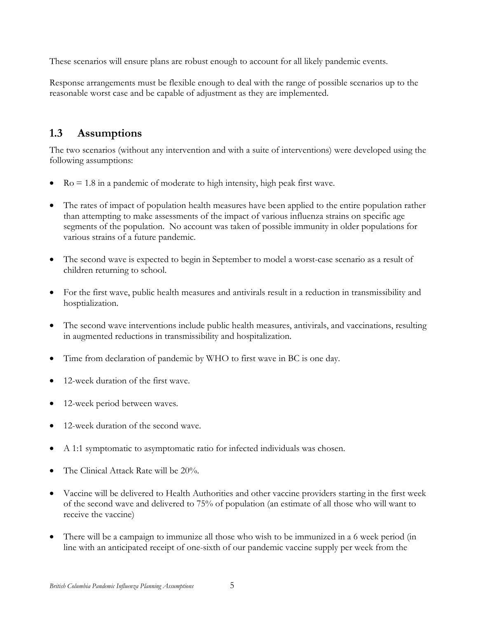These scenarios will ensure plans are robust enough to account for all likely pandemic events.

Response arrangements must be flexible enough to deal with the range of possible scenarios up to the reasonable worst case and be capable of adjustment as they are implemented.

### <span id="page-4-0"></span>**1.3 Assumptions**

The two scenarios (without any intervention and with a suite of interventions) were developed using the following assumptions:

- $Ro = 1.8$  in a pandemic of moderate to high intensity, high peak first wave.
- The rates of impact of population health measures have been applied to the entire population rather than attempting to make assessments of the impact of various influenza strains on specific age segments of the population. No account was taken of possible immunity in older populations for various strains of a future pandemic.
- The second wave is expected to begin in September to model a worst-case scenario as a result of children returning to school.
- For the first wave, public health measures and antivirals result in a reduction in transmissibility and hosptialization.
- The second wave interventions include public health measures, antivirals, and vaccinations, resulting in augmented reductions in transmissibility and hospitalization.
- Time from declaration of pandemic by WHO to first wave in BC is one day.
- 12-week duration of the first wave.
- 12-week period between waves.
- 12-week duration of the second wave.
- A 1:1 symptomatic to asymptomatic ratio for infected individuals was chosen.
- The Clinical Attack Rate will be 20%.
- Vaccine will be delivered to Health Authorities and other vaccine providers starting in the first week of the second wave and delivered to 75% of population (an estimate of all those who will want to receive the vaccine)
- There will be a campaign to immunize all those who wish to be immunized in a 6 week period (in line with an anticipated receipt of one-sixth of our pandemic vaccine supply per week from the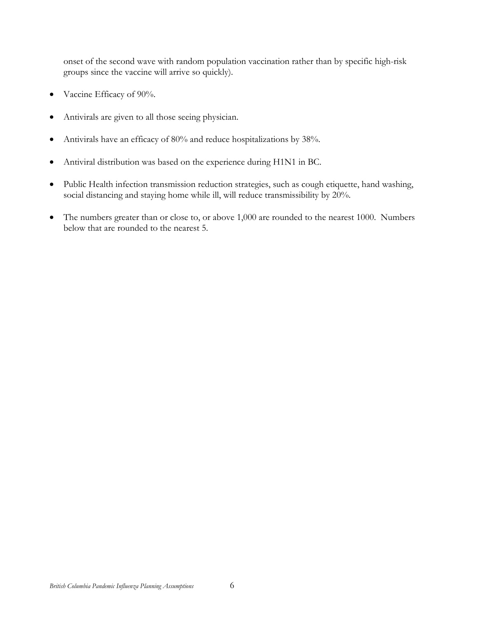onset of the second wave with random population vaccination rather than by specific high-risk groups since the vaccine will arrive so quickly).

- Vaccine Efficacy of 90%.
- Antivirals are given to all those seeing physician.
- Antivirals have an efficacy of 80% and reduce hospitalizations by 38%.
- Antiviral distribution was based on the experience during H1N1 in BC.
- Public Health infection transmission reduction strategies, such as cough etiquette, hand washing, social distancing and staying home while ill, will reduce transmissibility by 20%.
- The numbers greater than or close to, or above 1,000 are rounded to the nearest 1000. Numbers below that are rounded to the nearest 5.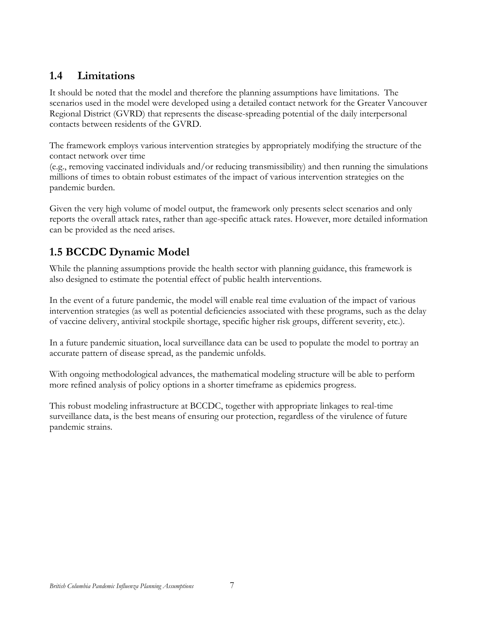### **1.4 Limitations**

It should be noted that the model and therefore the planning assumptions have limitations. The scenarios used in the model were developed using a detailed contact network for the Greater Vancouver Regional District (GVRD) that represents the disease-spreading potential of the daily interpersonal contacts between residents of the GVRD.

The framework employs various intervention strategies by appropriately modifying the structure of the contact network over time

(e.g., removing vaccinated individuals and/or reducing transmissibility) and then running the simulations millions of times to obtain robust estimates of the impact of various intervention strategies on the pandemic burden.

Given the very high volume of model output, the framework only presents select scenarios and only reports the overall attack rates, rather than age-specific attack rates. However, more detailed information can be provided as the need arises.

## **1.5 BCCDC Dynamic Model**

While the planning assumptions provide the health sector with planning guidance, this framework is also designed to estimate the potential effect of public health interventions.

In the event of a future pandemic, the model will enable real time evaluation of the impact of various intervention strategies (as well as potential deficiencies associated with these programs, such as the delay of vaccine delivery, antiviral stockpile shortage, specific higher risk groups, different severity, etc.).

In a future pandemic situation, local surveillance data can be used to populate the model to portray an accurate pattern of disease spread, as the pandemic unfolds.

With ongoing methodological advances, the mathematical modeling structure will be able to perform more refined analysis of policy options in a shorter timeframe as epidemics progress.

This robust modeling infrastructure at BCCDC, together with appropriate linkages to real-time surveillance data, is the best means of ensuring our protection, regardless of the virulence of future pandemic strains.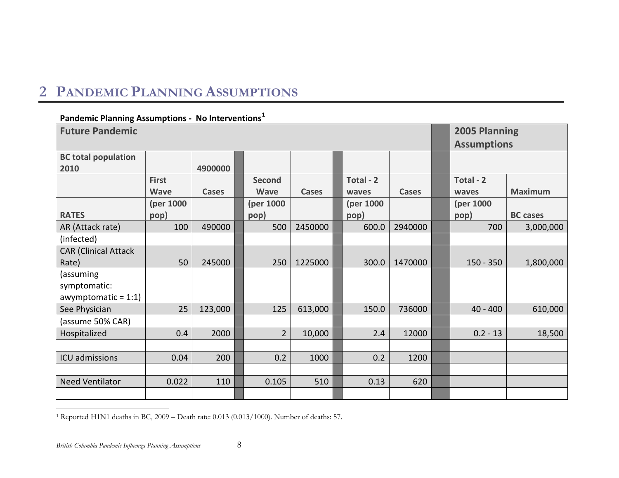## **2 PANDEMIC PLANNING ASSUMPTIONS**

#### <span id="page-7-1"></span>**Pandemic Planning Assumptions - No Interventions[1](#page-7-1)**

<span id="page-7-0"></span>

| <b>Future Pandemic</b>             | 2005 Planning<br><b>Assumptions</b> |              |                              |              |                    |              |                    |                 |
|------------------------------------|-------------------------------------|--------------|------------------------------|--------------|--------------------|--------------|--------------------|-----------------|
| <b>BC total population</b><br>2010 |                                     | 4900000      |                              |              |                    |              |                    |                 |
|                                    | <b>First</b><br><b>Wave</b>         | <b>Cases</b> | <b>Second</b><br><b>Wave</b> | <b>Cases</b> | Total - 2<br>waves | <b>Cases</b> | Total - 2<br>waves | <b>Maximum</b>  |
| <b>RATES</b>                       | (per 1000<br>pop)                   |              | (per 1000<br>pop)            |              | (per 1000<br>pop)  |              | (per 1000<br>pop)  | <b>BC</b> cases |
| AR (Attack rate)                   | 100                                 | 490000       | 500                          | 2450000      | 600.0              | 2940000      | 700                | 3,000,000       |
| (infected)                         |                                     |              |                              |              |                    |              |                    |                 |
| <b>CAR (Clinical Attack</b>        |                                     |              |                              |              |                    |              |                    |                 |
| Rate)                              | 50                                  | 245000       | 250                          | 1225000      | 300.0              | 1470000      | $150 - 350$        | 1,800,000       |
| (assuming                          |                                     |              |                              |              |                    |              |                    |                 |
| symptomatic:                       |                                     |              |                              |              |                    |              |                    |                 |
| awymptomatic = $1:1$ )             |                                     |              |                              |              |                    |              |                    |                 |
| See Physician                      | 25                                  | 123,000      | 125                          | 613,000      | 150.0              | 736000       | $40 - 400$         | 610,000         |
| (assume 50% CAR)                   |                                     |              |                              |              |                    |              |                    |                 |
| Hospitalized                       | 0.4                                 | 2000         | $\overline{2}$               | 10,000       | 2.4                | 12000        | $0.2 - 13$         | 18,500          |
|                                    |                                     |              |                              |              |                    |              |                    |                 |
| ICU admissions                     | 0.04                                | 200          | 0.2                          | 1000         | 0.2                | 1200         |                    |                 |
|                                    |                                     |              |                              |              |                    |              |                    |                 |
| <b>Need Ventilator</b>             | 0.022                               | 110          | 0.105                        | 510          | 0.13               | 620          |                    |                 |
|                                    |                                     |              |                              |              |                    |              |                    |                 |

1 Reported H1N1 deaths in BC, 2009 – Death rate: 0.013 (0.013/1000). Number of deaths: 57.